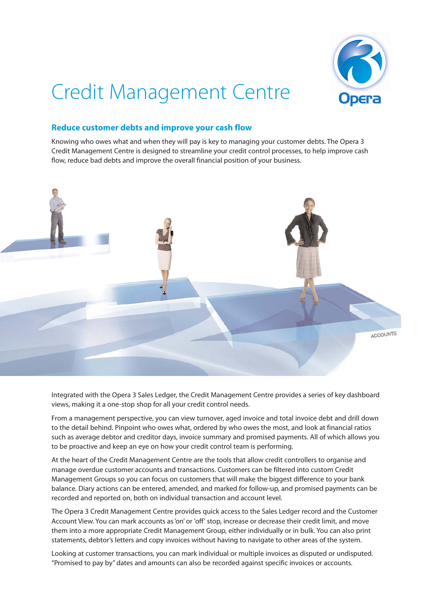

## Credit Management Centre

## **Reduce customer debts and improve your cash flow**

Knowing who owes what and when they will pay is key to managing your customer debts. The Opera 3 Credit Management Centre is designed to streamline your credit control processes, to help improve cash flow, reduce bad debts and improve the overall financial position of your business.



Integrated with the Opera 3 Sales Ledger, the Credit Management Centre provides a series of key dashboard views, making it a one-stop shop for all your credit control needs.

From a management perspective, you can view turnover, aged invoice and total invoice debt and drill down to the detail behind. Pinpoint who owes what, ordered by who owes the most, and look at financial ratios such as average debtor and creditor days, invoice summary and promised payments. All of which allows you to be proactive and keep an eye on how your credit control team is performing.

At the heart of the Credit Management Centre are the tools that allow credit controllers to organise and manage overdue customer accounts and transactions. Customers can be filtered into custom Credit Management Groups so you can focus on customers that will make the biggest difference to your bank balance. Diary actions can be entered, amended, and marked for follow-up, and promised payments can be recorded and reported on, both on individual transaction and account level.

The Opera 3 Credit Management Centre provides quick access to the Sales Ledger record and the Customer Account View. You can mark accounts as 'on' or 'off' stop, increase or decrease their credit limit, and move them into a more appropriate Credit Management Group, either individually or in bulk. You can also print statements, debtor's letters and copy invoices without having to navigate to other areas of the system.

Looking at customer transactions, you can mark individual or multiple invoices as disputed or undisputed. "Promised to pay by" dates and amounts can also be recorded against specific invoices or accounts.